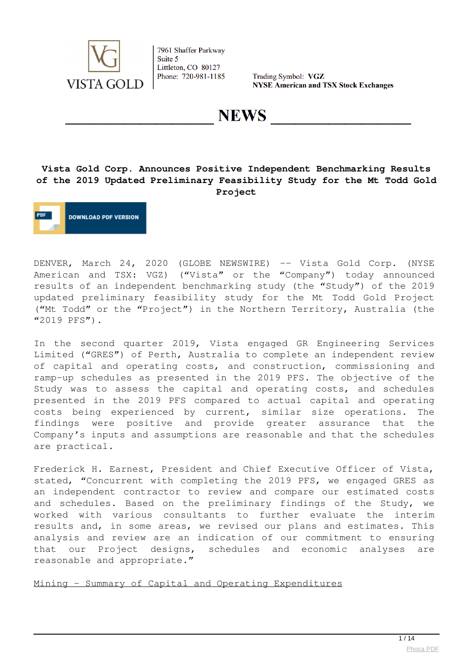

Trading Symbol: VGZ **NYSE American and TSX Stock Exchanges** 

**NEWS** 

## **Vista Gold Corp. Announces Positive Independent Benchmarking Results of the 2019 Updated Preliminary Feasibility Study for the Mt Todd Gold Project**

**DOWNLOAD PDF VERSION** 

DENVER, March 24, 2020 (GLOBE NEWSWIRE) -- Vista Gold Corp. (NYSE American and TSX: VGZ) ("Vista" or the "Company") today announced results of an independent benchmarking study (the "Study") of the 2019 updated preliminary feasibility study for the Mt Todd Gold Project ("Mt Todd" or the "Project") in the Northern Territory, Australia (the "2019 PFS").

In the second quarter 2019, Vista engaged GR Engineering Services Limited ("GRES") of Perth, Australia to complete an independent review of capital and operating costs, and construction, commissioning and ramp-up schedules as presented in the 2019 PFS. The objective of the Study was to assess the capital and operating costs, and schedules presented in the 2019 PFS compared to actual capital and operating costs being experienced by current, similar size operations. The findings were positive and provide greater assurance that the Company's inputs and assumptions are reasonable and that the schedules are practical.

Frederick H. Earnest, President and Chief Executive Officer of Vista, stated, "Concurrent with completing the 2019 PFS, we engaged GRES as an independent contractor to review and compare our estimated costs and schedules. Based on the preliminary findings of the Study, we worked with various consultants to further evaluate the interim results and, in some areas, we revised our plans and estimates. This analysis and review are an indication of our commitment to ensuring that our Project designs, schedules and economic analyses are reasonable and appropriate."

Mining – Summary of Capital and Operating Expenditures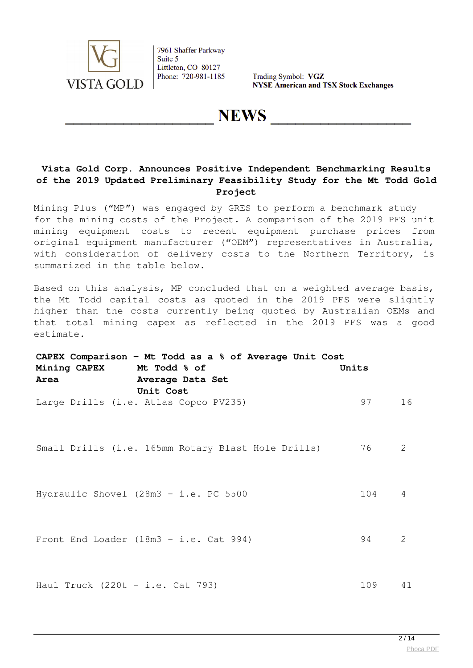

Trading Symbol: VGZ **NYSE American and TSX Stock Exchanges** 

**NEWS** 

## **Vista Gold Corp. Announces Positive Independent Benchmarking Results of the 2019 Updated Preliminary Feasibility Study for the Mt Todd Gold Project**

Mining Plus ("MP") was engaged by GRES to perform a benchmark study for the mining costs of the Project. A comparison of the 2019 PFS unit mining equipment costs to recent equipment purchase prices from original equipment manufacturer ("OEM") representatives in Australia, with consideration of delivery costs to the Northern Territory, is summarized in the table below.

Based on this analysis, MP concluded that on a weighted average basis, the Mt Todd capital costs as quoted in the 2019 PFS were slightly higher than the costs currently being quoted by Australian OEMs and that total mining capex as reflected in the 2019 PFS was a good estimate.

| CAPEX Comparison - Mt Todd as a $%$ of Average Unit Cost |       |    |  |  |  |
|----------------------------------------------------------|-------|----|--|--|--|
| Mining CAPEX Mt Todd % of                                | Units |    |  |  |  |
| Area<br>Average Data Set                                 |       |    |  |  |  |
| Unit Cost                                                |       |    |  |  |  |
| Large Drills (i.e. Atlas Copco PV235)                    | 97    | 16 |  |  |  |
|                                                          |       |    |  |  |  |
|                                                          |       |    |  |  |  |
| Small Drills (i.e. 165mm Rotary Blast Hole Drills)       | 76    | 2  |  |  |  |
|                                                          |       |    |  |  |  |
|                                                          |       |    |  |  |  |
| Hydraulic Shovel (28m3 - i.e. PC 5500                    | 104   | 4  |  |  |  |
|                                                          |       |    |  |  |  |
|                                                          |       |    |  |  |  |
| Front End Loader (18m3 - i.e. Cat 994)                   | 94    | 2  |  |  |  |
|                                                          |       |    |  |  |  |
|                                                          |       |    |  |  |  |
| Haul Truck $(220t - i.e. Cat 793)$                       | 109   | 41 |  |  |  |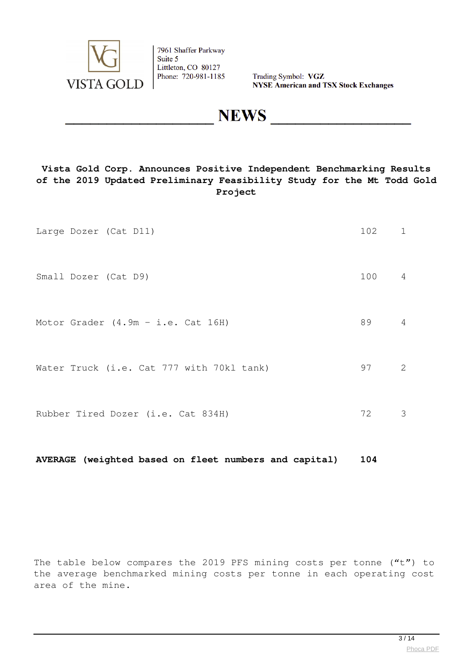

Trading Symbol: VGZ **NYSE American and TSX Stock Exchanges** 

**NEWS** 

## **Vista Gold Corp. Announces Positive Independent Benchmarking Results of the 2019 Updated Preliminary Feasibility Study for the Mt Todd Gold Project**

| Large Dozer (Cat D11)                     | 102 1 |                |
|-------------------------------------------|-------|----------------|
| Small Dozer (Cat D9)                      | 100 4 |                |
| Motor Grader $(4.9m - i.e.$ Cat 16H)      | 89    | $\overline{4}$ |
| Water Truck (i.e. Cat 777 with 70kl tank) | 97    | 2              |
| Rubber Tired Dozer (i.e. Cat 834H)        | 72    | 3              |

**AVERAGE (weighted based on fleet numbers and capital) 104**

The table below compares the 2019 PFS mining costs per tonne ("t") to the average benchmarked mining costs per tonne in each operating cost area of the mine.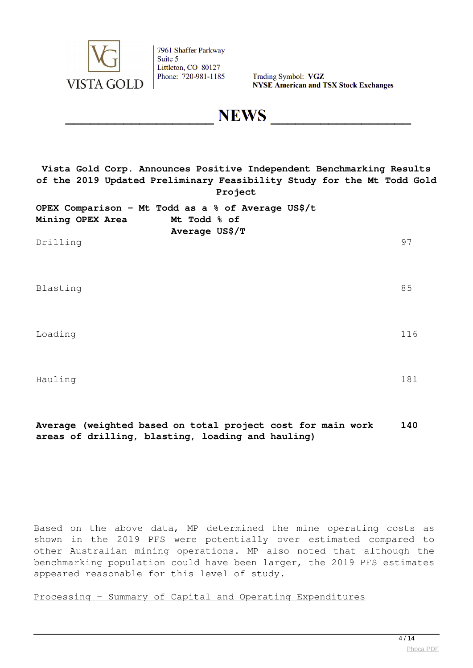

Trading Symbol: VGZ **NYSE American and TSX Stock Exchanges** 

**NEWS** 

**Vista Gold Corp. Announces Positive Independent Benchmarking Results of the 2019 Updated Preliminary Feasibility Study for the Mt Todd Gold Project**

| OPEX Comparison - Mt Todd as a % of Average US\$/t |                |  |
|----------------------------------------------------|----------------|--|
| Mining OPEX Area                                   | Mt Todd % of   |  |
|                                                    | Average US\$/T |  |

Drilling 97

Blasting 85

Loading 116

Hauling 181

#### **Average (weighted based on total project cost for main work areas of drilling, blasting, loading and hauling) 140**

Based on the above data, MP determined the mine operating costs as shown in the 2019 PFS were potentially over estimated compared to other Australian mining operations. MP also noted that although the benchmarking population could have been larger, the 2019 PFS estimates appeared reasonable for this level of study.

Processing – Summary of Capital and Operating Expenditures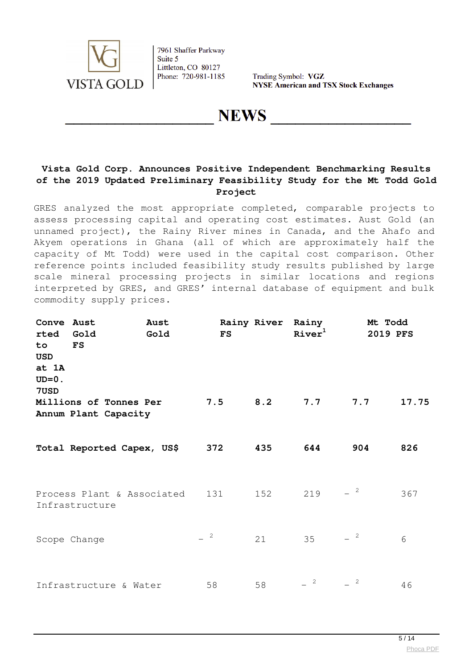

Trading Symbol: VGZ **NYSE American and TSX Stock Exchanges** 

**NEWS** 

## **Vista Gold Corp. Announces Positive Independent Benchmarking Results of the 2019 Updated Preliminary Feasibility Study for the Mt Todd Gold Project**

GRES analyzed the most appropriate completed, comparable projects to assess processing capital and operating cost estimates. Aust Gold (an unnamed project), the Rainy River mines in Canada, and the Ahafo and Akyem operations in Ghana (all of which are approximately half the capacity of Mt Todd) were used in the capital cost comparison. Other reference points included feasibility study results published by large scale mineral processing projects in similar locations and regions interpreted by GRES, and GRES' internal database of equipment and bulk commodity supply prices.

| Conve Aust<br>rted<br>to<br><b>USD</b><br>at 1A<br>$UD=0.$<br>7USD | Gold<br>$_{\rm FS}$                            | Aust<br>Gold               | <b>FS</b> | Rainy River | Rainy<br>River <sup>1</sup> |                | Mt Todd<br>2019 PFS |
|--------------------------------------------------------------------|------------------------------------------------|----------------------------|-----------|-------------|-----------------------------|----------------|---------------------|
|                                                                    | Millions of Tonnes Per<br>Annum Plant Capacity |                            | 7.5       | 8.2         | 7.7                         | 7.7            | 17.75               |
|                                                                    |                                                | Total Reported Capex, US\$ | 372       | 435         | 644                         | 904            | 826                 |
|                                                                    | Infrastructure                                 | Process Plant & Associated | 131       | 152         | 219                         | $-$ 2          | 367                 |
|                                                                    | Scope Change                                   |                            | $-$ 2     | 21          | 35                          | $-$ 2          | 6                   |
|                                                                    | Infrastructure & Water                         |                            | 58        | 58          | $=$ 2                       | $\overline{c}$ | 46                  |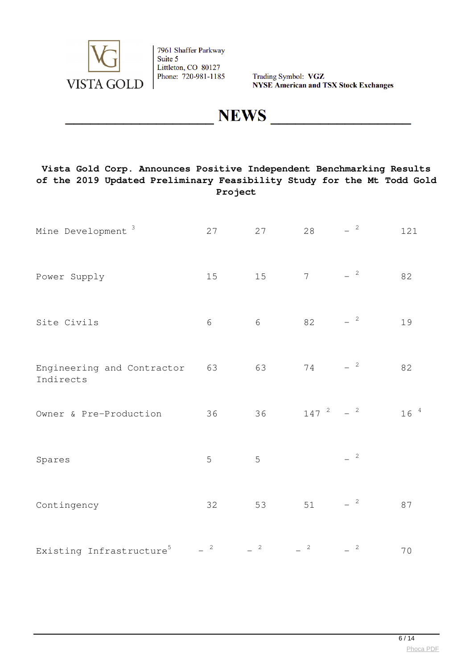

Trading Symbol: VGZ **NYSE American and TSX Stock Exchanges** 

**NEWS** 

## **Vista Gold Corp. Announces Positive Independent Benchmarking Results of the 2019 Updated Preliminary Feasibility Study for the Mt Todd Gold Project**

| Mine Development <sup>3</sup>           | 27             | 27           | 28                      | $-$ 2                    | 121      |
|-----------------------------------------|----------------|--------------|-------------------------|--------------------------|----------|
| Power Supply                            | 15             | 15           | $\overline{7}$          | $-$ 2                    | 82       |
| Site Civils                             | $\sqrt{6}$     | $\sqrt{6}$   | 82                      | $\overline{\mathbf{c}}$  | 19       |
| Engineering and Contractor<br>Indirects | 63             | 63           | $7\,4$                  | $\overline{\phantom{a}}$ | 82       |
| Owner & Pre-Production                  | 36             | 36           | $147^{2}$               | $-2$                     | $16^{4}$ |
| Spares                                  | 5              | 5            |                         | $^{\circ}$ 2             |          |
| Contingency                             | 32             | 53           | $51\,$                  | $\overline{\mathbf{c}}$  | 87       |
| Existing Infrastructure <sup>5</sup>    | $\overline{c}$ | $\mathbf{2}$ | $\overline{\mathbf{c}}$ | $\overline{\mathbf{c}}$  | 70       |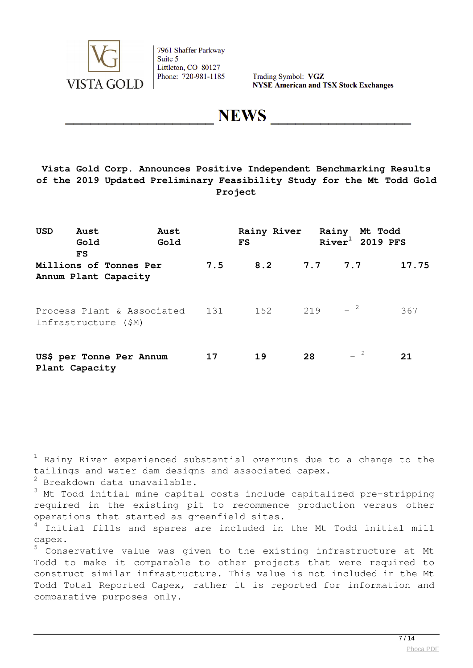

Trading Symbol: VGZ **NYSE American and TSX Stock Exchanges** 

**NEWS** 

## **Vista Gold Corp. Announces Positive Independent Benchmarking Results of the 2019 Updated Preliminary Feasibility Study for the Mt Todd Gold Project**

| <b>USD</b> | Aust<br>Gold<br>FS                                                  | Aust<br>Gold |     | Rainy River Rainy Mt Todd<br>$\mathbf{FS}$ |             | $River1$ 2019 PFS |       |
|------------|---------------------------------------------------------------------|--------------|-----|--------------------------------------------|-------------|-------------------|-------|
|            | Millions of Tonnes Per<br>Annum Plant Capacity                      |              | 7.5 |                                            | 8.2 7.7 7.7 |                   | 17.75 |
|            | Process Plant & Associated 131 152 219 $-2$<br>Infrastructure (\$M) |              |     |                                            |             |                   | 367   |
|            | US\$ per Tonne Per Annum<br>Plant Capacity                          |              | 17  | 19                                         | 28          | $ ^{2}$           | 21    |

 $^{\rm 1}$  Rainy River experienced substantial overruns due to a change to the tailings and water dam designs and associated capex.

 $2$  Breakdown data unavailable.

 $3$  Mt Todd initial mine capital costs include capitalized pre-stripping required in the existing pit to recommence production versus other operations that started as greenfield sites.

 $4$  Initial fills and spares are included in the Mt Todd initial mill capex.

5 Conservative value was given to the existing infrastructure at Mt Todd to make it comparable to other projects that were required to construct similar infrastructure. This value is not included in the Mt Todd Total Reported Capex, rather it is reported for information and comparative purposes only.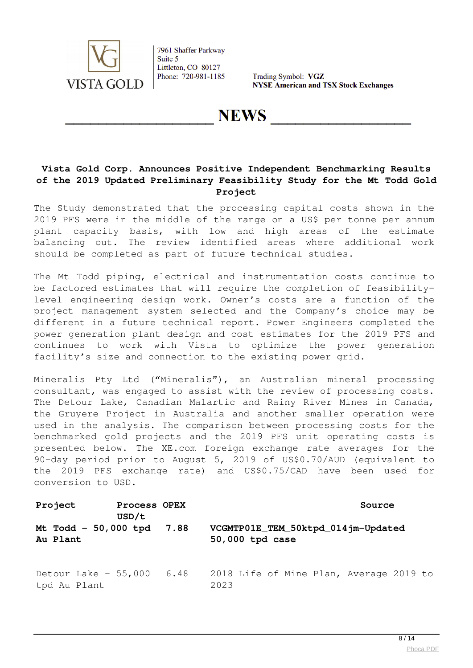

Trading Symbol: VGZ **NYSE American and TSX Stock Exchanges** 

**NEWS** 

## **Vista Gold Corp. Announces Positive Independent Benchmarking Results of the 2019 Updated Preliminary Feasibility Study for the Mt Todd Gold Project**

The Study demonstrated that the processing capital costs shown in the 2019 PFS were in the middle of the range on a US\$ per tonne per annum plant capacity basis, with low and high areas of the estimate balancing out. The review identified areas where additional work should be completed as part of future technical studies.

The Mt Todd piping, electrical and instrumentation costs continue to be factored estimates that will require the completion of feasibilitylevel engineering design work. Owner's costs are a function of the project management system selected and the Company's choice may be different in a future technical report. Power Engineers completed the power generation plant design and cost estimates for the 2019 PFS and continues to work with Vista to optimize the power generation facility's size and connection to the existing power grid.

Mineralis Pty Ltd ("Mineralis"), an Australian mineral processing consultant, was engaged to assist with the review of processing costs. The Detour Lake, Canadian Malartic and Rainy River Mines in Canada, the Gruyere Project in Australia and another smaller operation were used in the analysis. The comparison between processing costs for the benchmarked gold projects and the 2019 PFS unit operating costs is presented below. The XE.com foreign exchange rate averages for the 90-day period prior to August 5, 2019 of US\$0.70/AUD (equivalent to the 2019 PFS exchange rate) and US\$0.75/CAD have been used for conversion to USD.

| Project<br>USD/t                           | Process OPEX | Source                                                |
|--------------------------------------------|--------------|-------------------------------------------------------|
| Mt Todd - 50,000 tpd 7.88<br>Au Plant      |              | VCGMTP01E_TEM_50ktpd_014jm-Updated<br>50,000 tpd case |
| Detour Lake $-55,000$ 6.48<br>tpd Au Plant |              | 2018 Life of Mine Plan, Average 2019 to<br>2023       |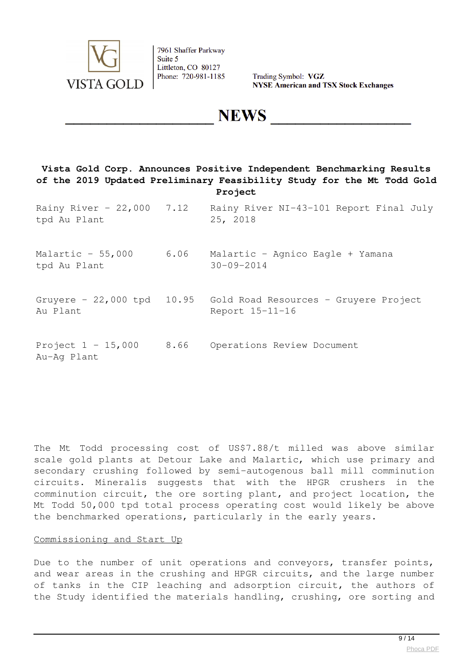

Trading Symbol: VGZ **NYSE American and TSX Stock Exchanges** 

**NEWS** 

## **Vista Gold Corp. Announces Positive Independent Benchmarking Results of the 2019 Updated Preliminary Feasibility Study for the Mt Todd Gold Project**

| Rainy River - 22,000 7.12<br>tpd Au Plant |      | Rainy River NI-43-101 Report Final July<br>25, 2018                                 |
|-------------------------------------------|------|-------------------------------------------------------------------------------------|
| Malartic $-55,000$<br>tpd Au Plant        | 6.06 | Malartic - Agnico Eagle + Yamana<br>$30 - 09 - 2014$                                |
| Au Plant                                  |      | Gruyere - 22,000 tpd 10.95 Gold Road Resources - Gruyere Project<br>Report 15-11-16 |
| Project $1 - 15,000$<br>Au-Aq Plant       | 8.66 | Operations Review Document                                                          |

The Mt Todd processing cost of US\$7.88/t milled was above similar scale gold plants at Detour Lake and Malartic, which use primary and secondary crushing followed by semi-autogenous ball mill comminution circuits. Mineralis suggests that with the HPGR crushers in the comminution circuit, the ore sorting plant, and project location, the Mt Todd 50,000 tpd total process operating cost would likely be above the benchmarked operations, particularly in the early years.

#### Commissioning and Start Up

Due to the number of unit operations and conveyors, transfer points, and wear areas in the crushing and HPGR circuits, and the large number of tanks in the CIP leaching and adsorption circuit, the authors of the Study identified the materials handling, crushing, ore sorting and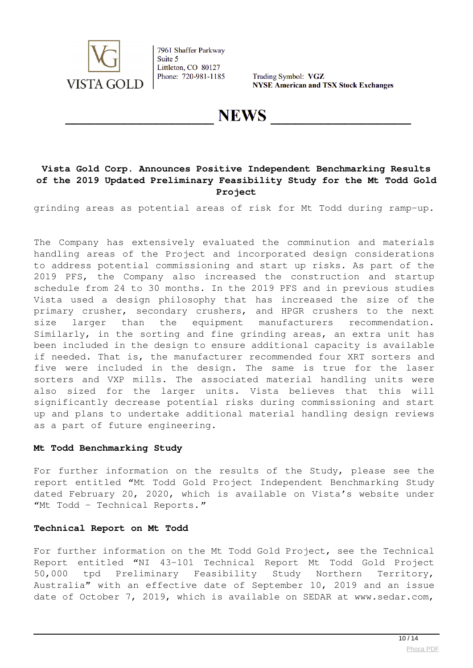

Trading Symbol: VGZ **NYSE American and TSX Stock Exchanges** 

**NEWS** 

## **Vista Gold Corp. Announces Positive Independent Benchmarking Results of the 2019 Updated Preliminary Feasibility Study for the Mt Todd Gold Project**

grinding areas as potential areas of risk for Mt Todd during ramp-up.

The Company has extensively evaluated the comminution and materials handling areas of the Project and incorporated design considerations to address potential commissioning and start up risks. As part of the 2019 PFS, the Company also increased the construction and startup schedule from 24 to 30 months. In the 2019 PFS and in previous studies Vista used a design philosophy that has increased the size of the primary crusher, secondary crushers, and HPGR crushers to the next size larger than the equipment manufacturers recommendation. Similarly, in the sorting and fine grinding areas, an extra unit has been included in the design to ensure additional capacity is available if needed. That is, the manufacturer recommended four XRT sorters and five were included in the design. The same is true for the laser sorters and VXP mills. The associated material handling units were also sized for the larger units. Vista believes that this will significantly decrease potential risks during commissioning and start up and plans to undertake additional material handling design reviews as a part of future engineering.

#### **Mt Todd Benchmarking Study**

For further information on the results of the Study, please see the report entitled "Mt Todd Gold Project Independent Benchmarking Study dated February 20, 2020, which is available on Vista's website under "Mt Todd – Technical Reports*."*

#### **Technical Report on Mt Todd**

For further information on the Mt Todd Gold Project, see the Technical Report entitled "NI 43-101 Technical Report Mt Todd Gold Project 50,000 tpd Preliminary Feasibility Study Northern Territory, Australia" with an effective date of September 10, 2019 and an issue date of October 7, 2019, which is available on SEDAR at www.sedar.com,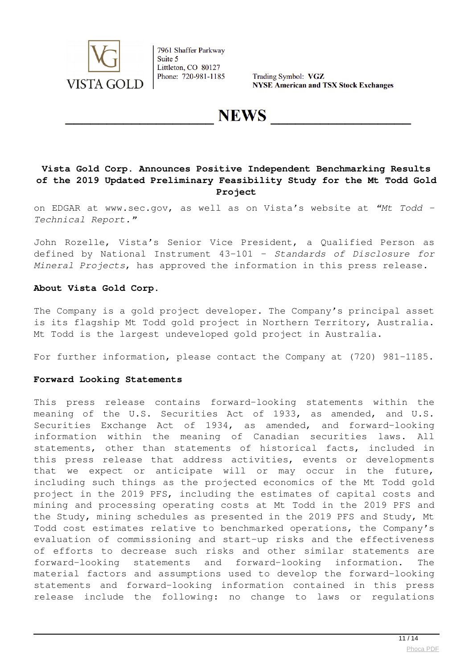

Trading Symbol: VGZ **NYSE American and TSX Stock Exchanges** 

**NEWS** 

## **Vista Gold Corp. Announces Positive Independent Benchmarking Results of the 2019 Updated Preliminary Feasibility Study for the Mt Todd Gold Project**

on EDGAR at www.sec.gov, as well as on Vista's website at *"Mt Todd – Technical Report."*

John Rozelle, Vista's Senior Vice President, a Qualified Person as defined by National Instrument 43-101 – *Standards of Disclosure for Mineral Projects*, has approved the information in this press release.

### **About Vista Gold Corp.**

The Company is a gold project developer. The Company's principal asset is its flagship Mt Todd gold project in Northern Territory, Australia. Mt Todd is the largest undeveloped gold project in Australia.

For further information, please contact the Company at (720) 981-1185.

#### **Forward Looking Statements**

This press release contains forward-looking statements within the meaning of the U.S. Securities Act of 1933, as amended, and U.S. Securities Exchange Act of 1934, as amended, and forward-looking information within the meaning of Canadian securities laws. All statements, other than statements of historical facts, included in this press release that address activities, events or developments that we expect or anticipate will or may occur in the future, including such things as the projected economics of the Mt Todd gold project in the 2019 PFS, including the estimates of capital costs and mining and processing operating costs at Mt Todd in the 2019 PFS and the Study, mining schedules as presented in the 2019 PFS and Study, Mt Todd cost estimates relative to benchmarked operations, the Company's evaluation of commissioning and start-up risks and the effectiveness of efforts to decrease such risks and other similar statements are forward-looking statements and forward-looking information. The material factors and assumptions used to develop the forward-looking statements and forward-looking information contained in this press release include the following: no change to laws or regulations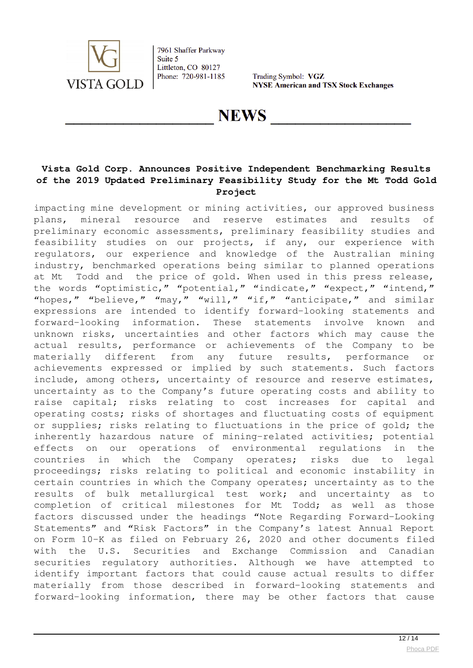

Trading Symbol: VGZ **NYSE American and TSX Stock Exchanges** 

**NEWS** 

## **Vista Gold Corp. Announces Positive Independent Benchmarking Results of the 2019 Updated Preliminary Feasibility Study for the Mt Todd Gold Project**

impacting mine development or mining activities, our approved business plans, mineral resource and reserve estimates and results of preliminary economic assessments, preliminary feasibility studies and feasibility studies on our projects, if any, our experience with regulators, our experience and knowledge of the Australian mining industry, benchmarked operations being similar to planned operations at Mt Todd and the price of gold. When used in this press release, the words "optimistic," "potential," "indicate," "expect," "intend," "hopes," "believe," "may," "will," "if," "anticipate," and similar expressions are intended to identify forward-looking statements and forward-looking information. These statements involve known and unknown risks, uncertainties and other factors which may cause the actual results, performance or achievements of the Company to be materially different from any future results, performance or achievements expressed or implied by such statements. Such factors include, among others, uncertainty of resource and reserve estimates, uncertainty as to the Company's future operating costs and ability to raise capital; risks relating to cost increases for capital and operating costs; risks of shortages and fluctuating costs of equipment or supplies; risks relating to fluctuations in the price of gold; the inherently hazardous nature of mining-related activities; potential effects on our operations of environmental regulations in the countries in which the Company operates; risks due to legal proceedings; risks relating to political and economic instability in certain countries in which the Company operates; uncertainty as to the results of bulk metallurgical test work; and uncertainty as to completion of critical milestones for Mt Todd; as well as those factors discussed under the headings "Note Regarding Forward-Looking Statements" and "Risk Factors" in the Company's latest Annual Report on Form 10-K as filed on February 26, 2020 and other documents filed with the U.S. Securities and Exchange Commission and Canadian securities regulatory authorities. Although we have attempted to identify important factors that could cause actual results to differ materially from those described in forward-looking statements and forward-looking information, there may be other factors that cause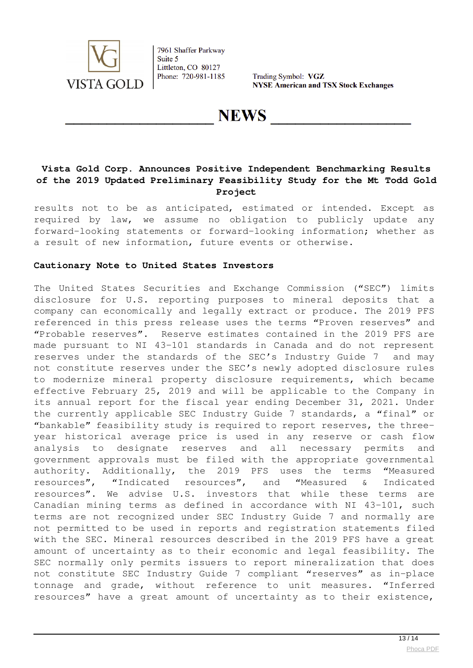

Trading Symbol: VGZ **NYSE American and TSX Stock Exchanges** 

**NEWS** 

## **Vista Gold Corp. Announces Positive Independent Benchmarking Results of the 2019 Updated Preliminary Feasibility Study for the Mt Todd Gold Project**

results not to be as anticipated, estimated or intended. Except as required by law, we assume no obligation to publicly update any forward-looking statements or forward-looking information; whether as a result of new information, future events or otherwise.

### **Cautionary Note to United States Investors**

The United States Securities and Exchange Commission ("SEC") limits disclosure for U.S. reporting purposes to mineral deposits that a company can economically and legally extract or produce. The 2019 PFS referenced in this press release uses the terms "Proven reserves" and "Probable reserves". Reserve estimates contained in the 2019 PFS are made pursuant to NI 43-101 standards in Canada and do not represent reserves under the standards of the SEC's Industry Guide 7 and may not constitute reserves under the SEC's newly adopted disclosure rules to modernize mineral property disclosure requirements, which became effective February 25, 2019 and will be applicable to the Company in its annual report for the fiscal year ending December 31, 2021. Under the currently applicable SEC Industry Guide 7 standards, a "final" or "bankable" feasibility study is required to report reserves, the threeyear historical average price is used in any reserve or cash flow analysis to designate reserves and all necessary permits and government approvals must be filed with the appropriate governmental authority. Additionally, the 2019 PFS uses the terms "Measured resources", "Indicated resources", and "Measured & Indicated resources". We advise U.S. investors that while these terms are Canadian mining terms as defined in accordance with NI 43-101, such terms are not recognized under SEC Industry Guide 7 and normally are not permitted to be used in reports and registration statements filed with the SEC. Mineral resources described in the 2019 PFS have a great amount of uncertainty as to their economic and legal feasibility. The SEC normally only permits issuers to report mineralization that does not constitute SEC Industry Guide 7 compliant "reserves" as in-place tonnage and grade, without reference to unit measures. "Inferred resources" have a great amount of uncertainty as to their existence,